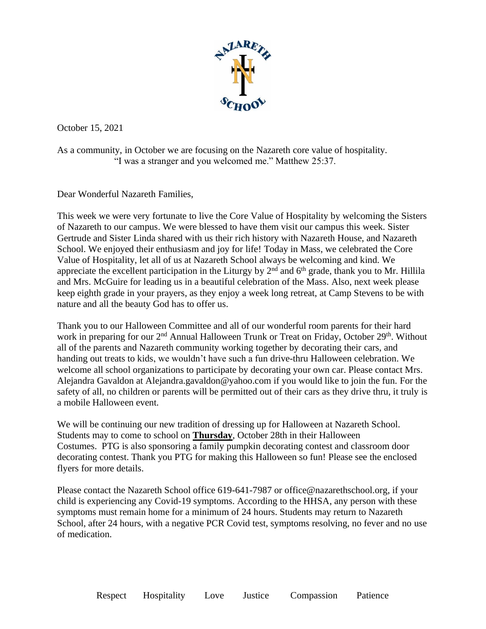

October 15, 2021

As a community, in October we are focusing on the Nazareth core value of hospitality. "I was a stranger and you welcomed me." Matthew 25:37.

Dear Wonderful Nazareth Families,

This week we were very fortunate to live the Core Value of Hospitality by welcoming the Sisters of Nazareth to our campus. We were blessed to have them visit our campus this week. Sister Gertrude and Sister Linda shared with us their rich history with Nazareth House, and Nazareth School. We enjoyed their enthusiasm and joy for life! Today in Mass, we celebrated the Core Value of Hospitality, let all of us at Nazareth School always be welcoming and kind. We appreciate the excellent participation in the Liturgy by  $2<sup>nd</sup>$  and  $6<sup>th</sup>$  grade, thank you to Mr. Hillila and Mrs. McGuire for leading us in a beautiful celebration of the Mass. Also, next week please keep eighth grade in your prayers, as they enjoy a week long retreat, at Camp Stevens to be with nature and all the beauty God has to offer us.

Thank you to our Halloween Committee and all of our wonderful room parents for their hard work in preparing for our 2<sup>nd</sup> Annual Halloween Trunk or Treat on Friday, October 29<sup>th</sup>. Without all of the parents and Nazareth community working together by decorating their cars, and handing out treats to kids, we wouldn't have such a fun drive-thru Halloween celebration. We welcome all school organizations to participate by decorating your own car. Please contact Mrs. Alejandra Gavaldon at Alejandra.gavaldon@yahoo.com if you would like to join the fun. For the safety of all, no children or parents will be permitted out of their cars as they drive thru, it truly is a mobile Halloween event.

We will be continuing our new tradition of dressing up for Halloween at Nazareth School. Students may to come to school on **Thursday**, October 28th in their Halloween Costumes. PTG is also sponsoring a family pumpkin decorating contest and classroom door decorating contest. Thank you PTG for making this Halloween so fun! Please see the enclosed flyers for more details.

Please contact the Nazareth School office 619-641-7987 or office@nazarethschool.org, if your child is experiencing any Covid-19 symptoms. According to the HHSA, any person with these symptoms must remain home for a minimum of 24 hours. Students may return to Nazareth School, after 24 hours, with a negative PCR Covid test, symptoms resolving, no fever and no use of medication.